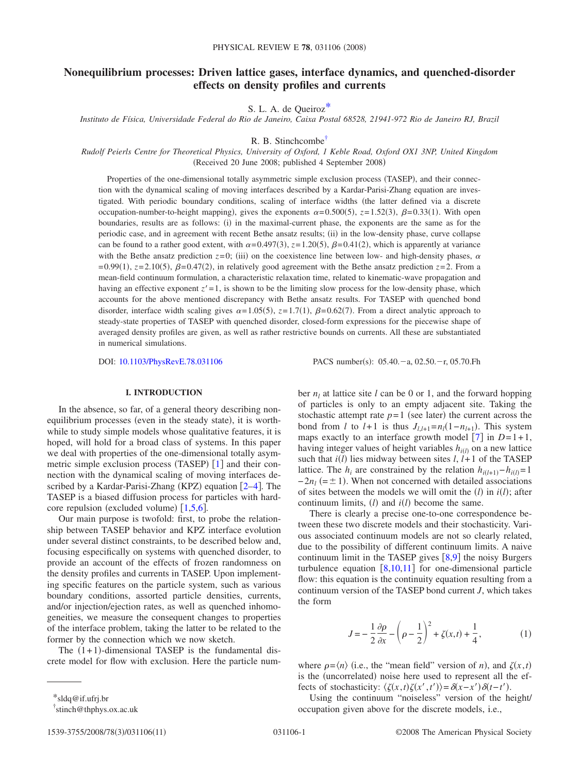# **Nonequilibrium processes: Driven lattice gases, interface dynamics, and quenched-disorder effects on density profiles and currents**

S. L. A. de Queiro[z\\*](#page-0-0)

*Instituto de Física, Universidade Federal do Rio de Janeiro, Caixa Postal 68528, 21941-972 Rio de Janeiro RJ, Brazil*

R. B. Stinchcomb[e†](#page-0-1)

*Rudolf Peierls Centre for Theoretical Physics, University of Oxford, 1 Keble Road, Oxford OX1 3NP, United Kingdom* (Received 20 June 2008; published 4 September 2008)

Properties of the one-dimensional totally asymmetric simple exclusion process (TASEP), and their connection with the dynamical scaling of moving interfaces described by a Kardar-Parisi-Zhang equation are investigated. With periodic boundary conditions, scaling of interface widths (the latter defined via a discrete occupation-number-to-height mapping), gives the exponents  $\alpha = 0.500(5)$ ,  $z = 1.52(3)$ ,  $\beta = 0.33(1)$ . With open boundaries, results are as follows: (i) in the maximal-current phase, the exponents are the same as for the periodic case, and in agreement with recent Bethe ansatz results; (ii) in the low-density phase, curve collapse can be found to a rather good extent, with  $\alpha = 0.497(3)$ ,  $z = 1.20(5)$ ,  $\beta = 0.41(2)$ , which is apparently at variance with the Bethe ansatz prediction  $z=0$ ; (iii) on the coexistence line between low- and high-density phases,  $\alpha$  $=0.99(1)$ ,  $z=2.10(5)$ ,  $\beta=0.47(2)$ , in relatively good agreement with the Bethe ansatz prediction  $z=2$ . From a mean-field continuum formulation, a characteristic relaxation time, related to kinematic-wave propagation and having an effective exponent  $z' = 1$ , is shown to be the limiting slow process for the low-density phase, which accounts for the above mentioned discrepancy with Bethe ansatz results. For TASEP with quenched bond disorder, interface width scaling gives  $\alpha = 1.05(5)$ ,  $z = 1.7(1)$ ,  $\beta = 0.62(7)$ . From a direct analytic approach to steady-state properties of TASEP with quenched disorder, closed-form expressions for the piecewise shape of averaged density profiles are given, as well as rather restrictive bounds on currents. All these are substantiated in numerical simulations.

DOI: [10.1103/PhysRevE.78.031106](http://dx.doi.org/10.1103/PhysRevE.78.031106)

PACS number(s):  $05.40.-a$ ,  $02.50.-r$ ,  $05.70.Fh$ 

# **I. INTRODUCTION**

In the absence, so far, of a general theory describing nonequilibrium processes (even in the steady state), it is worthwhile to study simple models whose qualitative features, it is hoped, will hold for a broad class of systems. In this paper we deal with properties of the one-dimensional totally asymmetric simple exclusion process (TASEP)  $[1]$  $[1]$  $[1]$  and their connection with the dynamical scaling of moving interfaces described by a Kardar-Parisi-Zhang (KPZ) equation  $[2-4]$  $[2-4]$  $[2-4]$ . The TASEP is a biased diffusion process for particles with hardcore repulsion (excluded volume)  $[1,5,6]$  $[1,5,6]$  $[1,5,6]$  $[1,5,6]$  $[1,5,6]$ .

Our main purpose is twofold: first, to probe the relationship between TASEP behavior and KPZ interface evolution under several distinct constraints, to be described below and, focusing especifically on systems with quenched disorder, to provide an account of the effects of frozen randomness on the density profiles and currents in TASEP. Upon implementing specific features on the particle system, such as various boundary conditions, assorted particle densities, currents, and/or injection/ejection rates, as well as quenched inhomogeneities, we measure the consequent changes to properties of the interface problem, taking the latter to be related to the former by the connection which we now sketch.

The  $(1+1)$ -dimensional TASEP is the fundamental discrete model for flow with exclusion. Here the particle number  $n_l$  at lattice site *l* can be 0 or 1, and the forward hopping of particles is only to an empty adjacent site. Taking the stochastic attempt rate  $p=1$  (see later) the current across the bond from *l* to *l*+1 is thus  $J_{l,l+1} = n_l(1 - n_{l+1})$ . This system maps exactly to an interface growth model  $[7]$  $[7]$  $[7]$  in  $D=1+1$ , having integer values of height variables  $h_{i(l)}$  on a new lattice such that  $i(l)$  lies midway between sites  $l, l+1$  of the TASEP lattice. The  $h_i$  are constrained by the relation  $h_{i(l+1)} - h_{i(l)} = 1$  $-2n_l$  (=  $\pm$  1). When not concerned with detailed associations of sites between the models we will omit the  $(l)$  in  $i(l)$ ; after continuum limits,  $(l)$  and  $i(l)$  become the same.

There is clearly a precise one-to-one correspondence between these two discrete models and their stochasticity. Various associated continuum models are not so clearly related, due to the possibility of different continuum limits. A naive continuum limit in the TASEP gives  $[8,9]$  $[8,9]$  $[8,9]$  $[8,9]$  the noisy Burgers turbulence equation  $\lceil 8,10,11 \rceil$  $\lceil 8,10,11 \rceil$  $\lceil 8,10,11 \rceil$  $\lceil 8,10,11 \rceil$  $\lceil 8,10,11 \rceil$  for one-dimensional particle flow: this equation is the continuity equation resulting from a continuum version of the TASEP bond current *J*, which takes the form

$$
J = -\frac{1}{2} \frac{\partial \rho}{\partial x} - \left(\rho - \frac{1}{2}\right)^2 + \zeta(x, t) + \frac{1}{4},
$$
 (1)

<span id="page-0-2"></span>where  $\rho = \langle n \rangle$  (i.e., the "mean field" version of *n*), and  $\zeta(x,t)$ is the (uncorrelated) noise here used to represent all the effects of stochasticity:  $\langle \zeta(x,t) \zeta(x',t') \rangle = \delta(x-x') \delta(t-t').$ 

Using the continuum "noiseless" version of the height/ occupation given above for the discrete models, i.e.,

<sup>\*</sup>sldq@if.ufrj.br

<span id="page-0-1"></span><span id="page-0-0"></span><sup>†</sup> stinch@thphys.ox.ac.uk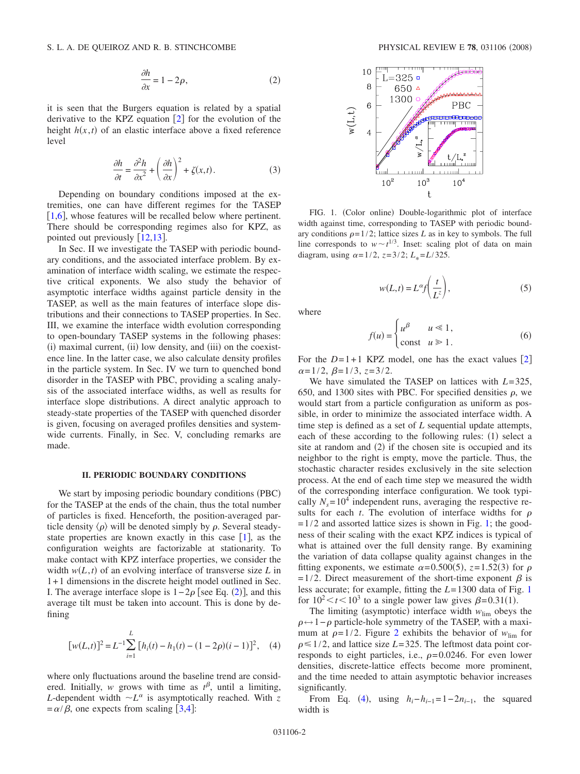$$
\frac{\partial h}{\partial x} = 1 - 2\rho,\tag{2}
$$

<span id="page-1-0"></span>it is seen that the Burgers equation is related by a spatial derivative to the KPZ equation  $[2]$  $[2]$  $[2]$  for the evolution of the height  $h(x, t)$  of an elastic interface above a fixed reference level

$$
\frac{\partial h}{\partial t} = \frac{\partial^2 h}{\partial x^2} + \left(\frac{\partial h}{\partial x}\right)^2 + \zeta(x, t). \tag{3}
$$

<span id="page-1-3"></span>Depending on boundary conditions imposed at the extremities, one can have different regimes for the TASEP [[1](#page-9-0)[,6](#page-9-4)], whose features will be recalled below where pertinent. There should be corresponding regimes also for KPZ, as pointed out previously  $\lceil 12,13 \rceil$  $\lceil 12,13 \rceil$  $\lceil 12,13 \rceil$  $\lceil 12,13 \rceil$ .

In Sec. II we investigate the TASEP with periodic boundary conditions, and the associated interface problem. By examination of interface width scaling, we estimate the respective critical exponents. We also study the behavior of asymptotic interface widths against particle density in the TASEP, as well as the main features of interface slope distributions and their connections to TASEP properties. In Sec. III, we examine the interface width evolution corresponding to open-boundary TASEP systems in the following phases: (i) maximal current, (ii) low density, and (iii) on the coexistence line. In the latter case, we also calculate density profiles in the particle system. In Sec. IV we turn to quenched bond disorder in the TASEP with PBC, providing a scaling analysis of the associated interface widths, as well as results for interface slope distributions. A direct analytic approach to steady-state properties of the TASEP with quenched disorder is given, focusing on averaged profiles densities and systemwide currents. Finally, in Sec. V, concluding remarks are made.

#### **II. PERIODIC BOUNDARY CONDITIONS**

We start by imposing periodic boundary conditions (PBC) for the TASEP at the ends of the chain, thus the total number of particles is fixed. Henceforth, the position-averaged particle density  $\langle \rho \rangle$  will be denoted simply by  $\rho$ . Several steadystate properties are known exactly in this case  $[1]$  $[1]$  $[1]$ , as the configuration weights are factorizable at stationarity. To make contact with KPZ interface properties, we consider the width  $w(L, t)$  of an evolving interface of transverse size  $L$  in 1+1 dimensions in the discrete height model outlined in Sec. I. The average interface slope is  $1-2ρ$  $1-2ρ$  $1-2ρ$  [see Eq. (2)], and this average tilt must be taken into account. This is done by defining

<span id="page-1-2"></span>
$$
[w(L,t)]^2 = L^{-1} \sum_{i=1}^{L} [h_i(t) - h_1(t) - (1 - 2\rho)(i - 1)]^2, \quad (4)
$$

where only fluctuations around the baseline trend are considered. Initially, *w* grows with time as  $t^{\beta}$ , until a limiting, *L*-dependent width  $\sim L^{\alpha}$  is asymptotically reached. With *z*  $=\alpha/\beta$ , one expects from scaling [[3](#page-9-10)[,4](#page-9-2)]:

<span id="page-1-1"></span>

FIG. 1. (Color online) Double-logarithmic plot of interface width against time, corresponding to TASEP with periodic boundary conditions  $\rho=1/2$ ; lattice sizes *L* as in key to symbols. The full line corresponds to  $w \sim t^{1/3}$ . Inset: scaling plot of data on main diagram, using  $\alpha = 1/2$ ,  $z = 3/2$ ;  $L_* = L/325$ .

$$
w(L,t) = L^{\alpha} f\left(\frac{t}{L^z}\right),\tag{5}
$$

<span id="page-1-4"></span>where

$$
f(u) = \begin{cases} u^{\beta} & u \le 1, \\ \text{const} & u \ge 1. \end{cases}
$$
 (6)

<span id="page-1-5"></span>For the  $D=1+1$  KPZ model, one has the exact values [[2](#page-9-1)]  $\alpha = 1/2, \ \beta = 1/3, \ z = 3/2.$ 

We have simulated the TASEP on lattices with *L*=325, 650, and 1300 sites with PBC. For specified densities  $\rho$ , we would start from a particle configuration as uniform as possible, in order to minimize the associated interface width. A time step is defined as a set of *L* sequential update attempts, each of these according to the following rules: (1) select a site at random and (2) if the chosen site is occupied and its neighbor to the right is empty, move the particle. Thus, the stochastic character resides exclusively in the site selection process. At the end of each time step we measured the width of the corresponding interface configuration. We took typically  $N_s = 10^4$  independent runs, averaging the respective results for each  $t$ . The evolution of interface widths for  $\rho$  $=1/2$  and assorted lattice sizes is shown in Fig. [1;](#page-1-1) the goodness of their scaling with the exact KPZ indices is typical of what is attained over the full density range. By examining the variation of data collapse quality against changes in the fitting exponents, we estimate  $\alpha = 0.500(5)$ ,  $z = 1.52(3)$  for  $\rho$  $=1/2$ . Direct measurement of the short-time exponent  $\beta$  is less accurate; for example, fitting the *L*=1300 data of Fig. [1](#page-1-1) for  $10^2 \lt t \lt 10^3$  to a single power law gives  $\beta = 0.31(1)$ .

The limiting (asymptotic) interface width  $w_{\text{lim}}$  obeys the  $\rho \leftrightarrow 1-\rho$  particle-hole symmetry of the TASEP, with a maximum at  $\rho=1/2$  $\rho=1/2$ . Figure 2 exhibits the behavior of  $w_{\text{lim}}$  for  $\rho \leq 1/2$ , and lattice size *L*=325. The leftmost data point corresponds to eight particles, i.e.,  $\rho = 0.0246$ . For even lower densities, discrete-lattice effects become more prominent, and the time needed to attain asymptotic behavior increases significantly.

From Eq. ([4](#page-1-2)), using  $h_i-h_{i-1}=1-2n_{i-1}$ , the squared width is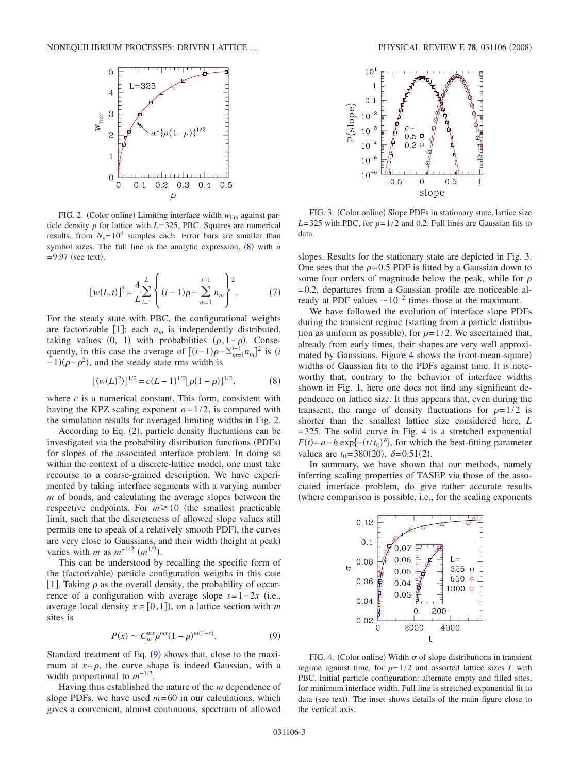<span id="page-2-0"></span>

FIG. 2. (Color online) Limiting interface width  $w_{\text{lim}}$  against particle density  $\rho$  for lattice with *L*=325, PBC. Squares are numerical results, from  $N_s = 10^4$  samples each. Error bars are smaller than symbol sizes. The full line is the analytic expression,  $(8)$  $(8)$  $(8)$  with  $a$  $=$  9.97 (see text).

$$
[w(L,t)]^2 = \frac{4}{L} \sum_{i=1}^{L} \left\{ (i-1)\rho - \sum_{m=1}^{i-1} n_m \right\}^2.
$$
 (7)

<span id="page-2-5"></span>For the steady state with PBC, the configurational weights are factorizable  $[1]$  $[1]$  $[1]$ : each  $n_m$  is independently distributed, taking values  $(0, 1)$  with probabilities  $(\rho, 1-\rho)$ . Consequently, in this case the average of  $[(i-1)\rho - \sum_{m=1}^{i-1} n_m]^2$  is  $(i$  $-1$ )( $\rho - \rho^2$ ), and the steady state rms width is

$$
[\langle w(L)^2 \rangle]^{1/2} = c(L-1)^{1/2} [\rho(1-\rho)]^{1/2}, \tag{8}
$$

<span id="page-2-4"></span>where  $c$  is a numerical constant. This form, consistent with having the KPZ scaling exponent  $\alpha=1/2$ , is compared with the simulation results for averaged limiting widths in Fig. [2.](#page-2-0)

According to Eq.  $(2)$  $(2)$  $(2)$ , particle density fluctuations can be investigated via the probability distribution functions (PDFs) for slopes of the associated interface problem. In doing so within the context of a discrete-lattice model, one must take recourse to a coarse-grained description. We have experimented by taking interface segments with a varying number *m* of bonds, and calculating the average slopes between the respective endpoints. For  $m \ge 10$  (the smallest practicable limit, such that the discreteness of allowed slope values still permits one to speak of a relatively smooth PDF), the curves are very close to Gaussians, and their width (height at peak) varies with *m* as  $m^{-1/2}$   $(m^{1/2})$ .

This can be understood by recalling the specific form of the (factorizable) particle configuration weigths in this case [[1](#page-9-0)]. Taking  $\rho$  as the overall density, the probability of occurrence of a configuration with average slope  $s=1-2x$  (i.e., average local density  $x \in [0,1]$ ), on a lattice section with *m* sites is

$$
P(x) \sim C_m^{mx} \rho^{mx} (1 - \rho)^{m(1 - x)}.
$$
 (9)

<span id="page-2-1"></span>Standard treatment of Eq. ([9](#page-2-1)) shows that, close to the maximum at  $x = \rho$ , the curve shape is indeed Gaussian, with a width proportional to *m*−1/<sup>2</sup> .

Having thus established the nature of the *m* dependence of slope PDFs, we have used *m*=60 in our calculations, which gives a convenient, almost continuous, spectrum of allowed

<span id="page-2-2"></span>

FIG. 3. (Color online) Slope PDFs in stationary state, lattice size  $L=325$  with PBC, for  $\rho=1/2$  and 0.2. Full lines are Gaussian fits to data.

slopes. Results for the stationary state are depicted in Fig. [3.](#page-2-2) One sees that the  $\rho$ =0.5 PDF is fitted by a Gaussian down to some four orders of magnitude below the peak, while for  $\rho$ =0.2, departures from a Gaussian profile are noticeable already at PDF values  $\sim 10^{-2}$  times those at the maximum.

We have followed the evolution of interface slope PDFs during the transient regime (starting from a particle distribution as uniform as possible), for  $\rho = 1/2$ . We ascertained that, already from early times, their shapes are very well approxi-mated by Gaussians. Figure [4](#page-2-3) shows the (root-mean-square) widths of Gaussian fits to the PDFs against time. It is noteworthy that, contrary to the behavior of interface widths shown in Fig. [1,](#page-1-1) here one does not find any significant dependence on lattice size. It thus appears that, even during the transient, the range of density fluctuations for  $\rho=1/2$  is shorter than the smallest lattice size considered here, *L*  $=$  325. The solid curve in Fig. [4](#page-2-3) is a stretched exponential  $F(t) = a - b \exp\{-\left(\frac{t}{t_0}\right)^{\delta}\},\$  for which the best-fitting parameter values are  $t_0 = 380(20)$ ,  $\delta = 0.51(2)$ .

In summary, we have shown that our methods, namely inferring scaling properties of TASEP via those of the associated interface problem, do give rather accurate results where comparison is possible, i.e., for the scaling exponents

<span id="page-2-3"></span>

FIG. 4. (Color online) Width  $\sigma$  of slope distributions in transient regime against time, for  $\rho = 1/2$  and assorted lattice sizes *L* with PBC. Initial particle configuration: alternate empty and filled sites, for minimum interface width. Full line is stretched exponential fit to data (see text). The inset shows details of the main figure close to the vertical axis.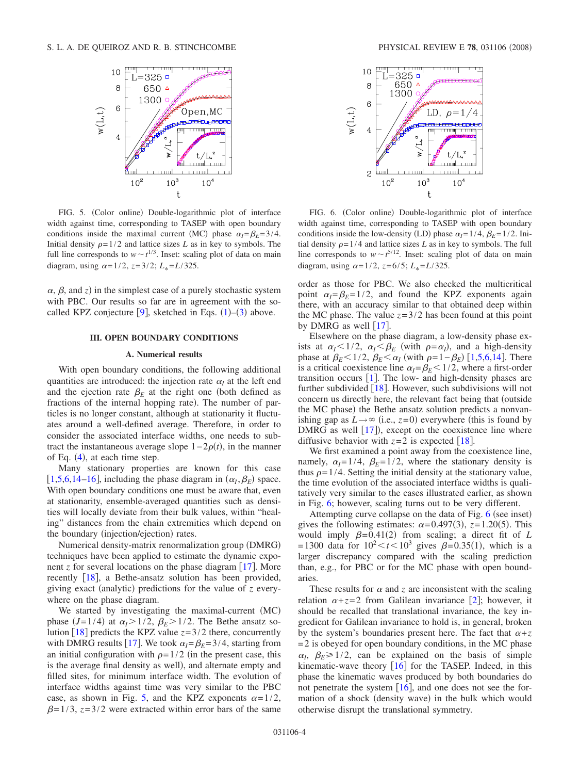<span id="page-3-0"></span>

FIG. 5. (Color online) Double-logarithmic plot of interface width against time, corresponding to TASEP with open boundary conditions inside the maximal current (MC) phase  $\alpha_l = \beta_E = 3/4$ . Initial density  $\rho = 1/2$  and lattice sizes *L* as in key to symbols. The full line corresponds to  $w \sim t^{1/3}$ . Inset: scaling plot of data on main diagram, using  $\alpha = 1/2$ ,  $z = 3/2$ ;  $L_* = L/325$ .

 $\alpha$ ,  $\beta$ , and *z*) in the simplest case of a purely stochastic system with PBC. Our results so far are in agreement with the so-called KPZ conjecture [[9](#page-9-7)], sketched in Eqs.  $(1)$  $(1)$  $(1)$ – $(3)$  $(3)$  $(3)$  above.

# **III. OPEN BOUNDARY CONDITIONS**

#### **A. Numerical results**

With open boundary conditions, the following additional quantities are introduced: the injection rate  $\alpha_l$  at the left end and the ejection rate  $\beta_E$  at the right one (both defined as fractions of the internal hopping rate). The number of particles is no longer constant, although at stationarity it fluctuates around a well-defined average. Therefore, in order to consider the associated interface widths, one needs to subtract the instantaneous average slope  $1-2\rho(t)$ , in the manner of Eq.  $(4)$  $(4)$  $(4)$ , at each time step.

Many stationary properties are known for this case [[1](#page-9-0)[,5](#page-9-3)[,6](#page-9-4)[,14](#page-10-2)[–16](#page-10-3)], including the phase diagram in  $(\alpha_I, \beta_E)$  space. With open boundary conditions one must be aware that, even at stationarity, ensemble-averaged quantities such as densities will locally deviate from their bulk values, within "healing" distances from the chain extremities which depend on the boundary (injection/ejection) rates.

Numerical density-matrix renormalization group (DMRG) techniques have been applied to estimate the dynamic exponent *z* for several locations on the phase diagram  $[17]$  $[17]$  $[17]$ . More recently [[18](#page-10-4)], a Bethe-ansatz solution has been provided, giving exact (analytic) predictions for the value of *z* everywhere on the phase diagram.

We started by investigating the maximal-current (MC) phase  $(J=1/4)$  at  $\alpha_l > 1/2$ ,  $\beta_E > 1/2$ . The Bethe ansatz solution  $[18]$  $[18]$  $[18]$  predicts the KPZ value  $z=3/2$  there, concurrently with DMRG results [[17](#page-9-5)]. We took  $\alpha_l = \beta_E = 3/4$ , starting from an initial configuration with  $\rho=1/2$  (in the present case, this is the average final density as well), and alternate empty and filled sites, for minimum interface width. The evolution of interface widths against time was very similar to the PBC case, as shown in Fig. [5,](#page-3-0) and the KPZ exponents  $\alpha=1/2$ ,  $\beta$ =1/3, *z*=3/2 were extracted within error bars of the same

<span id="page-3-1"></span>

FIG. 6. (Color online) Double-logarithmic plot of interface width against time, corresponding to TASEP with open boundary conditions inside the low-density (LD) phase  $\alpha_I = 1/4$ ,  $\beta_E = 1/2$ . Initial density  $\rho = 1/4$  and lattice sizes *L* as in key to symbols. The full line corresponds to  $w \sim t^{5/12}$ . Inset: scaling plot of data on main diagram, using  $\alpha = 1/2$ ,  $z=6/5$ ;  $L_* = L/325$ .

order as those for PBC. We also checked the multicritical point  $\alpha_I = \beta_E = 1/2$ , and found the KPZ exponents again there, with an accuracy similar to that obtained deep within the MC phase. The value  $z=3/2$  has been found at this point by DMRG as well  $\lceil 17 \rceil$  $\lceil 17 \rceil$  $\lceil 17 \rceil$ .

Elsewhere on the phase diagram, a low-density phase exists at  $\alpha_l < 1/2$ ,  $\alpha_l < \beta_E$  (with  $\rho = \alpha_l$ ), and a high-density phase at  $\beta_E < 1/2$  $\beta_E < 1/2$  $\beta_E < 1/2$ ,  $\beta_E < \alpha_I$  (with  $\rho = 1 - \beta_E$ ) [1[,5](#page-9-3)[,6](#page-9-4)[,14](#page-10-2)]. There is a critical coexistence line  $\alpha_l = \beta_E < 1/2$ , where a first-order transition occurs  $[1]$  $[1]$  $[1]$ . The low- and high-density phases are further subdivided  $[18]$  $[18]$  $[18]$ . However, such subdivisions will not concern us directly here, the relevant fact being that (outside the MC phase) the Bethe ansatz solution predicts a nonvanishing gap as  $L \rightarrow \infty$  (i.e.,  $z=0$ ) everywhere (this is found by DMRG as well  $[17]$  $[17]$  $[17]$ ), except on the coexistence line where diffusive behavior with  $z=2$  is expected [[18](#page-10-4)].

We first examined a point away from the coexistence line, namely,  $\alpha_l = 1/4$ ,  $\beta_E = 1/2$ , where the stationary density is thus  $\rho = 1/4$ . Setting the initial density at the stationary value, the time evolution of the associated interface widths is qualitatively very similar to the cases illustrated earlier, as shown in Fig. [6;](#page-3-1) however, scaling turns out to be very different.

Attempting curve collapse on the data of Fig.  $6$  (see inset) gives the following estimates:  $\alpha = 0.497(3)$ ,  $z = 1.20(5)$ . This would imply  $\beta = 0.41(2)$  from scaling; a direct fit of *L*  $=1300$  data for  $10^2 < t < 10^3$  gives  $\beta = 0.35(1)$ , which is a larger discrepancy compared with the scaling prediction than, e.g., for PBC or for the MC phase with open boundaries.

These results for  $\alpha$  and  $\zeta$  are inconsistent with the scaling relation  $\alpha + z = 2$  $\alpha + z = 2$  from Galilean invariance [2]; however, it should be recalled that translational invariance, the key ingredient for Galilean invariance to hold is, in general, broken by the system's boundaries present here. The fact that  $\alpha + z$  $=$  2 is obeyed for open boundary conditions, in the MC phase  $\alpha_l$ ,  $\beta_E \ge 1/2$ , can be explained on the basis of simple kinematic-wave theory  $[16]$  $[16]$  $[16]$  for the TASEP. Indeed, in this phase the kinematic waves produced by both boundaries do not penetrate the system  $[16]$  $[16]$  $[16]$ , and one does not see the formation of a shock (density wave) in the bulk which would otherwise disrupt the translational symmetry.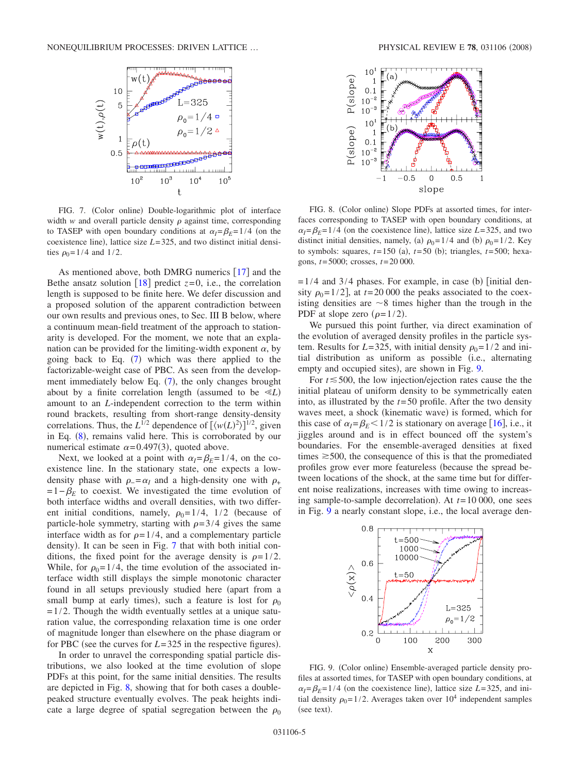<span id="page-4-0"></span>

FIG. 7. (Color online) Double-logarithmic plot of interface width  $w$  and overall particle density  $\rho$  against time, corresponding to TASEP with open boundary conditions at  $\alpha_l = \beta_E = 1/4$  (on the coexistence line), lattice size  $L=325$ , and two distinct initial densities  $\rho_0 = 1/4$  and 1/2.

As mentioned above, both DMRG numerics  $\lceil 17 \rceil$  $\lceil 17 \rceil$  $\lceil 17 \rceil$  and the Bethe ansatz solution  $\lceil 18 \rceil$  $\lceil 18 \rceil$  $\lceil 18 \rceil$  predict  $z=0$ , i.e., the correlation length is supposed to be finite here. We defer discussion and a proposed solution of the apparent contradiction between our own results and previous ones, to Sec. III B below, where a continuum mean-field treatment of the approach to stationarity is developed. For the moment, we note that an explanation can be provided for the limiting-width exponent  $\alpha$ , by going back to Eq.  $(7)$  $(7)$  $(7)$  which was there applied to the factorizable-weight case of PBC. As seen from the development immediately below Eq.  $(7)$  $(7)$  $(7)$ , the only changes brought about by a finite correlation length (assumed to be  $\ll L$ ) amount to an *L*-independent correction to the term within round brackets, resulting from short-range density-density correlations. Thus, the  $L^{1/2}$  dependence of  $[\langle w(L)^2 \rangle]^{1/2}$ , given in Eq.  $(8)$  $(8)$  $(8)$ , remains valid here. This is corroborated by our numerical estimate  $\alpha = 0.497(3)$ , quoted above.

Next, we looked at a point with  $\alpha_I = \beta_E = 1/4$ , on the coexistence line. In the stationary state, one expects a lowdensity phase with  $\rho = \alpha_l$  and a high-density one with  $\rho_+$  $=1-\beta_E$  to coexist. We investigated the time evolution of both interface widths and overall densities, with two different initial conditions, namely,  $\rho_0=1/4$ ,  $1/2$  (because of particle-hole symmetry, starting with  $\rho=3/4$  gives the same interface width as for  $\rho = 1/4$ , and a complementary particle density). It can be seen in Fig. [7](#page-4-0) that with both initial conditions, the fixed point for the average density is  $\rho = 1/2$ . While, for  $\rho_0 = 1/4$ , the time evolution of the associated interface width still displays the simple monotonic character found in all setups previously studied here (apart from a small bump at early times), such a feature is lost for  $\rho_0$  $=1/2$ . Though the width eventually settles at a unique saturation value, the corresponding relaxation time is one order of magnitude longer than elsewhere on the phase diagram or for PBC (see the curves for  $L = 325$  in the respective figures).

In order to unravel the corresponding spatial particle distributions, we also looked at the time evolution of slope PDFs at this point, for the same initial densities. The results are depicted in Fig. [8,](#page-4-1) showing that for both cases a doublepeaked structure eventually evolves. The peak heights indicate a large degree of spatial segregation between the  $\rho_0$ 

<span id="page-4-1"></span>

FIG. 8. (Color online) Slope PDFs at assorted times, for interfaces corresponding to TASEP with open boundary conditions, at  $\alpha_l = \beta_E = 1/4$  (on the coexistence line), lattice size *L*=325, and two distinct initial densities, namely, (a)  $\rho_0 = 1/4$  and (b)  $\rho_0 = 1/2$ . Key to symbols: squares,  $t=150$  (a),  $t=50$  (b); triangles,  $t=500$ ; hexagons, *t*=5000; crosses, *t*=20 000.

 $= 1/4$  and 3/4 phases. For example, in case (b) [initial density  $\rho_0$ =1/2], at *t*=20 000 the peaks associated to the coexisting densities are  $\sim$ 8 times higher than the trough in the PDF at slope zero  $(\rho = 1/2)$ .

We pursued this point further, via direct examination of the evolution of averaged density profiles in the particle system. Results for  $L=325$ , with initial density  $\rho_0=1/2$  and initial distribution as uniform as possible (i.e., alternating empty and occupied sites), are shown in Fig. [9.](#page-4-2)

For  $t \le 500$ , the low injection/ejection rates cause the the initial plateau of uniform density to be symmetrically eaten into, as illustrated by the *t*=50 profile. After the two density waves meet, a shock (kinematic wave) is formed, which for this case of  $\alpha_l = \beta_E < 1/2$  is stationary on average [[16](#page-10-3)], i.e., it jiggles around and is in effect bounced off the system's boundaries. For the ensemble-averaged densities at fixed times  $\geq 500$ , the consequence of this is that the promediated profiles grow ever more featureless (because the spread between locations of the shock, at the same time but for different noise realizations, increases with time owing to increasing sample-to-sample decorrelation). At  $t=10000$ , one sees in Fig. [9](#page-4-2) a nearly constant slope, i.e., the local average den-

<span id="page-4-2"></span>

FIG. 9. (Color online) Ensemble-averaged particle density profiles at assorted times, for TASEP with open boundary conditions, at  $\alpha_l = \beta_E = 1/4$  (on the coexistence line), lattice size *L*=325, and initial density  $\rho_0 = 1/2$ . Averages taken over  $10^4$  independent samples (see text).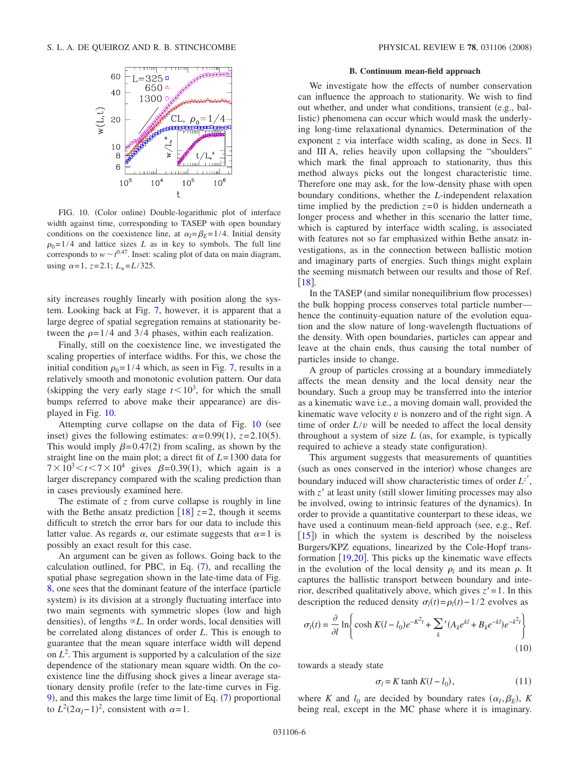<span id="page-5-0"></span>

FIG. 10. (Color online) Double-logarithmic plot of interface width against time, corresponding to TASEP with open boundary conditions on the coexistence line, at  $\alpha_l = \beta_E = 1/4$ . Initial density  $\rho_0$ =1/4 and lattice sizes *L* as in key to symbols. The full line corresponds to  $w \sim t^{0.47}$ . Inset: scaling plot of data on main diagram, using  $\alpha=1$ ,  $z=2.1$ ;  $L_* = L/325$ .

sity increases roughly linearly with position along the system. Looking back at Fig. [7,](#page-4-0) however, it is apparent that a large degree of spatial segregation remains at stationarity between the  $\rho = 1/4$  and 3/4 phases, within each realization.

Finally, still on the coexistence line, we investigated the scaling properties of interface widths. For this, we chose the initial condition  $\rho_0 = 1/4$  which, as seen in Fig. [7,](#page-4-0) results in a relatively smooth and monotonic evolution pattern. Our data (skipping the very early stage  $t < 10<sup>3</sup>$ , for which the small bumps referred to above make their appearance) are displayed in Fig. [10.](#page-5-0)

Attempting curve collapse on the data of Fig.  $10$  (see inset) gives the following estimates:  $\alpha = 0.99(1)$ ,  $z = 2.10(5)$ . This would imply  $\beta = 0.47(2)$  from scaling, as shown by the straight line on the main plot; a direct fit of *L*=1300 data for  $7 \times 10^3 < t < 7 \times 10^4$  gives  $\beta = 0.39(1)$ , which again is a larger discrepancy compared with the scaling prediction than in cases previously examined here.

The estimate of *z* from curve collapse is roughly in line with the Bethe ansatz prediction  $[18]$  $[18]$  $[18]$   $z=2$ , though it seems difficult to stretch the error bars for our data to include this latter value. As regards  $\alpha$ , our estimate suggests that  $\alpha = 1$  is possibly an exact result for this case.

An argument can be given as follows. Going back to the calculation outlined, for PBC, in Eq.  $(7)$  $(7)$  $(7)$ , and recalling the spatial phase segregation shown in the late-time data of Fig. [8,](#page-4-1) one sees that the dominant feature of the interface (particle system) is its division at a strongly fluctuating interface into two main segments with symmetric slopes (low and high densities), of lengths  $\propto L$ . In order words, local densities will be correlated along distances of order *L*. This is enough to guarantee that the mean square interface width will depend on  $L^2$ . This argument is supported by a calculation of the size dependence of the stationary mean square width. On the coexistence line the diffusing shock gives a linear average stationary density profile (refer to the late-time curves in Fig. [9](#page-4-2)), and this makes the large time limit of Eq. ([7](#page-2-5)) proportional to  $L^2(2\alpha_I - 1)^2$ , consistent with  $\alpha = 1$ .

## **B. Continuum mean-field approach**

We investigate how the effects of number conservation can influence the approach to stationarity. We wish to find out whether, and under what conditions, transient (e.g., ballistic) phenomena can occur which would mask the underlying long-time relaxational dynamics. Determination of the exponent *z* via interface width scaling, as done in Secs. II and III A, relies heavily upon collapsing the "shoulders" which mark the final approach to stationarity, thus this method always picks out the longest characteristic time. Therefore one may ask, for the low-density phase with open boundary conditions, whether the *L*-independent relaxation time implied by the prediction  $z=0$  is hidden underneath a longer process and whether in this scenario the latter time, which is captured by interface width scaling, is associated with features not so far emphasized within Bethe ansatz investigations, as in the connection between ballistic motion and imaginary parts of energies. Such things might explain the seeming mismatch between our results and those of Ref.  $\lceil 18 \rceil$  $\lceil 18 \rceil$  $\lceil 18 \rceil$ .

In the TASEP (and similar nonequilibrium flow processes) the bulk hopping process conserves total particle number hence the continuity-equation nature of the evolution equation and the slow nature of long-wavelength fluctuations of the density. With open boundaries, particles can appear and leave at the chain ends, thus causing the total number of particles inside to change.

A group of particles crossing at a boundary immediately affects the mean density and the local density near the boundary. Such a group may be transferred into the interior as a kinematic wave i.e., a moving domain wall, provided the kinematic wave velocity *v* is nonzero and of the right sign. A time of order *L*/*v* will be needed to affect the local density throughout a system of size  $L$  (as, for example, is typically required to achieve a steady state configuration).

This argument suggests that measurements of quantities (such as ones conserved in the interior) whose changes are boundary induced will show characteristic times of order  $L^{z'}$ , with  $z'$  at least unity (still slower limiting processes may also be involved, owing to intrinsic features of the dynamics). In order to provide a quantitative counterpart to these ideas, we have used a continuum mean-field approach (see, e.g., Ref. [[15](#page-10-5)]) in which the system is described by the noiseless Burgers/KPZ equations, linearized by the Cole-Hopf transformation  $[19,20]$  $[19,20]$  $[19,20]$  $[19,20]$ . This picks up the kinematic wave effects in the evolution of the local density  $\rho_l$  and its mean  $\rho$ . It captures the ballistic transport between boundary and interior, described qualitatively above, which gives  $z' = 1$ . In this description the reduced density  $\sigma_l(t) = \rho_l(t) - 1/2$  evolves as

$$
\sigma_l(t) = \frac{\partial}{\partial l} \ln \left\{ \cosh K(l - l_0) e^{-K^2 t} + \sum_k (A_k e^{kl} + B_k e^{-kl}) e^{-k^2 t} \right\}
$$
\n(10)

towards a steady state

$$
\sigma_l = K \tanh K(l - l_0),\tag{11}
$$

where *K* and  $l_0$  are decided by boundary rates  $(\alpha_I, \beta_E)$ , *K* being real, except in the MC phase where it is imaginary.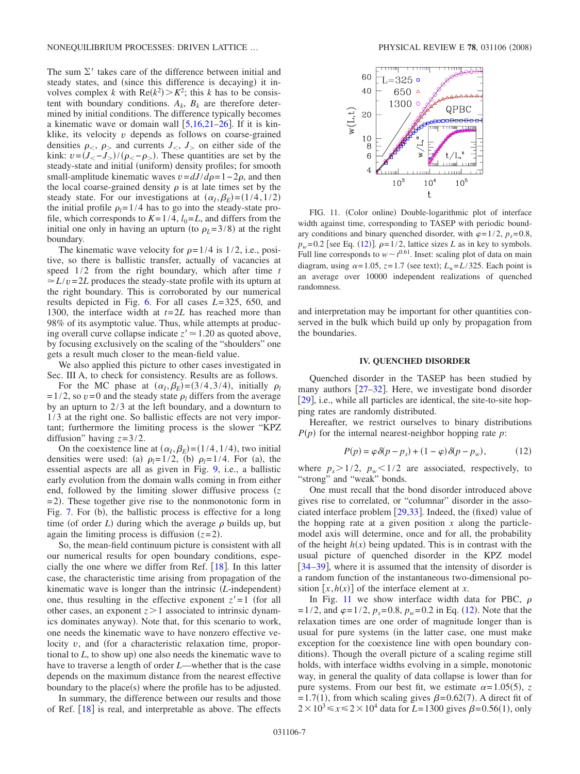The sum  $\Sigma'$  takes care of the difference between initial and steady states, and (since this difference is decaying) it involves complex *k* with  $Re(k^2) > K^2$ ; this *k* has to be consistent with boundary conditions.  $A_k$ ,  $B_k$  are therefore determined by initial conditions. The difference typically becomes a kinematic wave or domain wall  $[5,16,21-26]$  $[5,16,21-26]$  $[5,16,21-26]$  $[5,16,21-26]$  $[5,16,21-26]$  $[5,16,21-26]$ . If it is kinklike, its velocity *v* depends as follows on coarse-grained densities  $\rho_{\leq}$ ,  $\rho_{\geq}$  and currents  $J_{\leq}$ ,  $J_{\geq}$  on either side of the kink:  $v = (J_{<} - J_{>})/(\rho_{<} - \rho_{>})$ . These quantities are set by the steady-state and initial (uniform) density profiles; for smooth small-amplitude kinematic waves  $v = dJ/d\rho = 1-2\rho$ , and then the local coarse-grained density  $\rho$  is at late times set by the steady state. For our investigations at  $(\alpha_I, \beta_E) = (1/4, 1/2)$ the initial profile  $\rho_l = 1/4$  has to go into the steady-state profile, which corresponds to  $K=1/4$ ,  $l_0=L$ , and differs from the initial one only in having an upturn (to  $\rho_L$ =3/8) at the right boundary.

The kinematic wave velocity for  $\rho = 1/4$  is 1/2, i.e., positive, so there is ballistic transfer, actually of vacancies at speed 1/2 from the right boundary, which after time *t*  $\approx L/v = 2L$  produces the steady-state profile with its upturn at the right boundary. This is corroborated by our numerical results depicted in Fig. [6.](#page-3-1) For all cases *L*=325, 650, and 1300, the interface width at *t*=2*L* has reached more than 98% of its asymptotic value. Thus, while attempts at producing overall curve collapse indicate  $z' \approx 1.20$  as quoted above, by focusing exclusively on the scaling of the "shoulders" one gets a result much closer to the mean-field value.

We also applied this picture to other cases investigated in Sec. III A, to check for consistency. Results are as follows.

For the MC phase at  $(\alpha_I, \beta_E) = (3/4, 3/4)$ , initially  $\rho_I$ =1/2, so  $v=0$  and the steady state  $\rho_l$  differs from the average by an upturn to 2/3 at the left boundary, and a downturn to 1/3 at the right one. So ballistic effects are not very important; furthermore the limiting process is the slower "KPZ diffusion" having *z*=3/2.

On the coexistence line at  $(\alpha_I, \beta_E) = (1/4, 1/4)$ , two initial densities were used: (a)  $\rho_l = 1/2$ , (b)  $\rho_l = 1/4$ . For (a), the essential aspects are all as given in Fig. [9,](#page-4-2) i.e., a ballistic early evolution from the domain walls coming in from either end, followed by the limiting slower diffusive process (z =2). These together give rise to the nonmonotonic form in Fig. [7.](#page-4-0) For (b), the ballistic process is effective for a long time (of order *L*) during which the average  $\rho$  builds up, but again the limiting process is diffusion  $(z=2)$ .

So, the mean-field continuum picture is consistent with all our numerical results for open boundary conditions, especially the one where we differ from Ref.  $[18]$  $[18]$  $[18]$ . In this latter case, the characteristic time arising from propagation of the kinematic wave is longer than the intrinsic (L-independent) one, thus resulting in the effective exponent  $z'=1$  (for all other cases, an exponent  $z > 1$  associated to intrinsic dynamics dominates anyway). Note that, for this scenario to work, one needs the kinematic wave to have nonzero effective velocity *v*, and (for a characteristic relaxation time, proportional to  $L$ , to show up) one also needs the kinematic wave to have to traverse a length of order *L*—whether that is the case depends on the maximum distance from the nearest effective boundary to the place(s) where the profile has to be adjusted.

In summary, the difference between our results and those of Ref.  $[18]$  $[18]$  $[18]$  is real, and interpretable as above. The effects

<span id="page-6-0"></span>

FIG. 11. (Color online) Double-logarithmic plot of interface width against time, corresponding to TASEP with periodic boundary conditions and binary quenched disorder, with  $\varphi=1/2$ ,  $p_s=0.8$ ,  $p_w$ =0.2 [see Eq. ([12](#page-6-1))].  $\rho$ =1/2, lattice sizes *L* as in key to symbols. Full line corresponds to  $w \sim t^{0.61}$ . Inset: scaling plot of data on main diagram, using  $\alpha = 1.05$ ,  $z = 1.7$  (see text);  $L_* = L/325$ . Each point is an average over 10000 independent realizations of quenched randomness.

and interpretation may be important for other quantities conserved in the bulk which build up only by propagation from the boundaries.

#### **IV. QUENCHED DISORDER**

Quenched disorder in the TASEP has been studied by many authors  $[27-32]$  $[27-32]$  $[27-32]$ . Here, we investigate bond disorder [[29](#page-10-12)], i.e., while all particles are identical, the site-to-site hopping rates are randomly distributed.

Hereafter, we restrict ourselves to binary distributions  $P(p)$  for the internal nearest-neighbor hopping rate *p*:

$$
P(p) = \varphi \delta(p - p_s) + (1 - \varphi)\delta(p - p_w), \tag{12}
$$

<span id="page-6-1"></span>where  $p_s > 1/2$ ,  $p_w < 1/2$  are associated, respectively, to "strong" and "weak" bonds.

One must recall that the bond disorder introduced above gives rise to correlated, or "columnar" disorder in the associated interface problem  $[29,33]$  $[29,33]$  $[29,33]$  $[29,33]$ . Indeed, the (fixed) value of the hopping rate at a given position *x* along the particlemodel axis will determine, once and for all, the probability of the height  $h(x)$  being updated. This is in contrast with the usual picture of quenched disorder in the KPZ model [[34](#page-10-14)[–39](#page-10-15)], where it is assumed that the intensity of disorder is a random function of the instantaneous two-dimensional position  $[x, h(x)]$  of the interface element at *x*.

In Fig. [11](#page-6-0) we show interface width data for PBC,  $\rho$  $=1/2$ , and  $\varphi=1/2$ ,  $p_s=0.8$ ,  $p_w=0.2$  in Eq. ([12](#page-6-1)). Note that the relaxation times are one order of magnitude longer than is usual for pure systems (in the latter case, one must make exception for the coexistence line with open boundary conditions). Though the overall picture of a scaling regime still holds, with interface widths evolving in a simple, monotonic way, in general the quality of data collapse is lower than for pure systems. From our best fit, we estimate  $\alpha = 1.05(5)$ , *z*  $= 1.7(1)$ , from which scaling gives  $\beta = 0.62(7)$ . A direct fit of  $2 \times 10^3 \le x \le 2 \times 10^4$  data for *L*=1300 gives  $\beta$ =0.56(1), only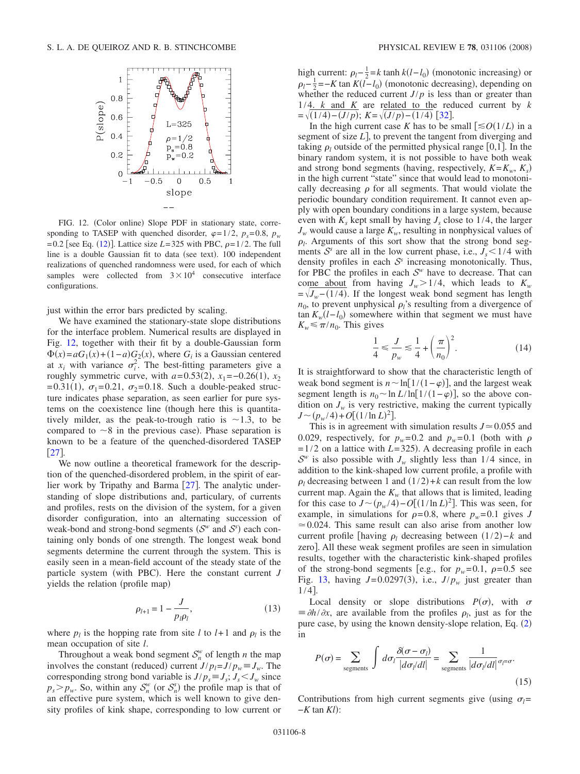<span id="page-7-0"></span>

FIG. 12. (Color online) Slope PDF in stationary state, corresponding to TASEP with quenched disorder,  $\varphi=1/2$ ,  $p_s=0.8$ ,  $p_w$  $= 0.2$  [see Eq. ([12](#page-6-1))]. Lattice size *L*=325 with PBC,  $\rho = 1/2$ . The full line is a double Gaussian fit to data (see text). 100 independent realizations of quenched randomness were used, for each of which samples were collected from  $3 \times 10^4$  consecutive interface configurations.

just within the error bars predicted by scaling.

We have examined the stationary-state slope distributions for the interface problem. Numerical results are displayed in Fig. [12,](#page-7-0) together with their fit by a double-Gaussian form  $\Phi(x) = aG_1(x) + (1-a)G_2(x)$ , where *G<sub>i</sub>* is a Gaussian centered at  $x_i$  with variance  $\sigma_i^2$ . The best-fitting parameters give a roughly symmetric curve, with  $a=0.53(2)$ ,  $x_1=-0.26(1)$ ,  $x_2$  $=0.31(1)$ ,  $\sigma_1=0.21$ ,  $\sigma_2=0.18$ . Such a double-peaked structure indicates phase separation, as seen earlier for pure systems on the coexistence line (though here this is quantitatively milder, as the peak-to-trough ratio is  $\sim$ 1.3, to be compared to  $\sim$ 8 in the previous case). Phase separation is known to be a feature of the quenched-disordered TASEP  $[27]$  $[27]$  $[27]$ 

We now outline a theoretical framework for the description of the quenched-disordered problem, in the spirit of earlier work by Tripathy and Barma  $[27]$  $[27]$  $[27]$ . The analytic understanding of slope distributions and, particulary, of currents and profiles, rests on the division of the system, for a given disorder configuration, into an alternating succession of weak-bond and strong-bond segments  $(S^w$  and  $S^s)$  each containing only bonds of one strength. The longest weak bond segments determine the current through the system. This is easily seen in a mean-field account of the steady state of the particle system (with PBC). Here the constant current *J* yields the relation (profile map)

$$
\rho_{l+1} = 1 - \frac{J}{p_l p_l},\tag{13}
$$

where  $p_l$  is the hopping rate from site *l* to  $l+1$  and  $p_l$  is the mean occupation of site *l*.

Throughout a weak bond segment  $S_n^w$  of length *n* the map involves the constant (reduced) current  $J/p_l = J/p_w \equiv J_w$ . The corresponding strong bond variable is  $J/p_s \equiv J_s$ ;  $J_s < J_w$  since  $p_s > p_w$ . So, within any  $S_n^w$  (or  $S_n^s$ ) the profile map is that of an effective pure system, which is well known to give density profiles of kink shape, corresponding to low current or

high current:  $\rho_l - \frac{1}{2} = k \tanh k(l - l_0)$  (monotonic increasing) or  $\rho_l - \frac{1}{2} = -K \tan K(l - l_0)$  (monotonic decreasing), depending on whether the reduced current  $J/p$  is less than or greater than  $1/4$ . *k* and *K* are related to the reduced current by *k*  $=\sqrt{(1/4)-(J/p)}$ ;  $K=\sqrt{(J/p)-(1/4)}$  [[32](#page-10-11)].

In the high current case *K* has to be small  $\left[\leq O(1/L)\right]$  in a segment of size  $L$ , to prevent the tangent from diverging and taking  $\rho_l$  outside of the permitted physical range [0,1]. In the binary random system, it is not possible to have both weak and strong bond segments (having, respectively,  $K = K_w$ ,  $K_s$ ) in the high current "state" since that would lead to monotonically decreasing  $\rho$  for all segments. That would violate the periodic boundary condition requirement. It cannot even apply with open boundary conditions in a large system, because even with  $K<sub>s</sub>$  kept small by having  $J<sub>s</sub>$  close to 1/4, the larger  $J_w$  would cause a large  $K_w$ , resulting in nonphysical values of  $\rho_l$ . Arguments of this sort show that the strong bond segments  $S^s$  are all in the low current phase, i.e.,  $J_s < 1/4$  with density profiles in each <sup>S</sup>*<sup>s</sup>* increasing monotonically. Thus, for PBC the profiles in each  $S<sup>w</sup>$  have to decrease. That can come about from having  $J_w > 1/4$ , which leads to  $K_w$  $=\sqrt{J_w-(1/4)}$ . If the longest weak bond segment has length  $n_0$ , to prevent unphysical  $\rho_l$ 's resulting from a divergence of  $\tan K_w(l-l_0)$  somewhere within that segment we must have  $K_w \leq \pi/n_0$ . This gives

$$
\frac{1}{4} \le \frac{J}{p_w} \le \frac{1}{4} + \left(\frac{\pi}{n_0}\right)^2.
$$
\n(14)

It is straightforward to show that the characteristic length of weak bond segment is  $n \sim \ln[1/(1-\varphi)]$ , and the largest weak segment length is  $n_0 \sim \ln L/\ln[1/(1-\varphi)]$ , so the above condition on  $J_w$  is very restrictive, making the current typically  $J \sim (p_w/4) + O[(1/\ln L)^2].$ 

This is in agreement with simulation results  $J \approx 0.055$  and 0.029, respectively, for  $p_w=0.2$  and  $p_w=0.1$  (both with  $\rho$  $=1/2$  on a lattice with *L*=325). A decreasing profile in each  $S^w$  is also possible with  $J_w$  slightly less than 1/4 since, in addition to the kink-shaped low current profile, a profile with  $\rho_l$  decreasing between 1 and  $(1/2) + k$  can result from the low current map. Again the  $K_w$  that allows that is limited, leading for this case to  $J \sim (p_w/4) - O[(1/\ln L)^2]$ . This was seen, for example, in simulations for  $\rho = 0.8$ , where  $p_w = 0.1$  gives *J*  $\approx 0.024$ . This same result can also arise from another low current profile [having  $\rho_l$  decreasing between  $(1/2)-k$  and zero. All these weak segment profiles are seen in simulation results, together with the characteristic kink-shaped profiles of the strong-bond segments [e.g., for  $p_w=0.1$ ,  $\rho=0.5$  see Fig. [13,](#page-8-0) having  $J=0.0297(3)$ , i.e.,  $J/p_w$  just greater than  $1/4$ .

Local density or slope distributions  $P(\sigma)$ , with  $\sigma$  $\equiv \partial h / \partial x$ , are available from the profiles  $\rho_l$ , just as for the pure case, by using the known density-slope relation, Eq. ([2](#page-1-0)) in

$$
P(\sigma) = \sum_{\text{segments}} \int d\sigma_l \frac{\delta(\sigma - \sigma_l)}{|d\sigma_l/dl|} = \sum_{\text{segments}} \frac{1}{|d\sigma_l/dl|} \sigma_l = \sigma.
$$
\n(15)

Contributions from high current segments give (using  $\sigma_l$ = −*K* tan *Kl*):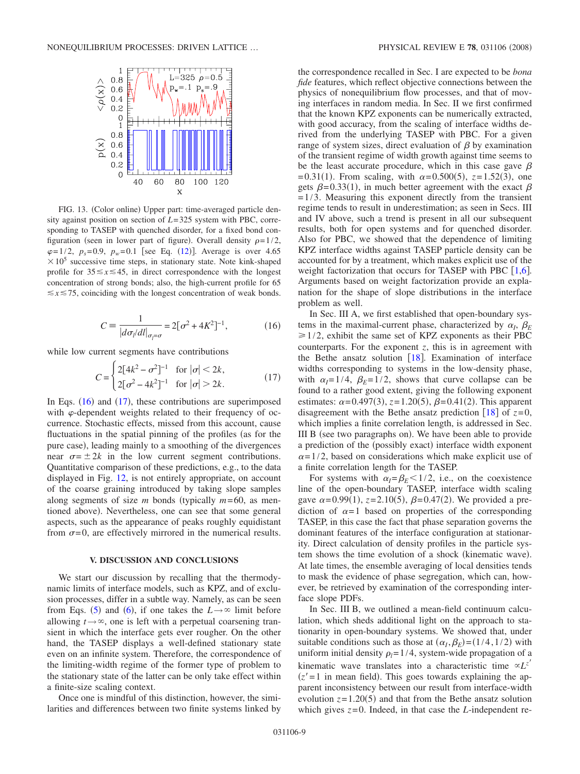<span id="page-8-0"></span>

FIG. 13. (Color online) Upper part: time-averaged particle density against position on section of *L*=325 system with PBC, corresponding to TASEP with quenched disorder, for a fixed bond configuration (seen in lower part of figure). Overall density  $\rho=1/2$ ,  $\varphi=1/2$ ,  $p_s=0.9$ ,  $p_w=0.1$  [see Eq. ([12](#page-6-1))]. Average is over 4.65  $\times 10^5$  successive time steps, in stationary state. Note kink-shaped profile for  $35 \le x \le 45$ , in direct correspondence with the longest concentration of strong bonds; also, the high-current profile for 65  $\leq x \leq 75$ , coinciding with the longest concentration of weak bonds.

$$
C = \frac{1}{|d\sigma_l/dl|_{\sigma_l = \sigma}} = 2[\sigma^2 + 4K^2]^{-1},
$$
 (16)

<span id="page-8-1"></span>while low current segments have contributions

$$
C = \begin{cases} 2[4k^2 - \sigma^2]^{-1} & \text{for } |\sigma| < 2k, \\ 2[\sigma^2 - 4k^2]^{-1} & \text{for } |\sigma| > 2k. \end{cases}
$$
 (17)

<span id="page-8-2"></span>In Eqs.  $(16)$  $(16)$  $(16)$  and  $(17)$  $(17)$  $(17)$ , these contributions are superimposed with  $\varphi$ -dependent weights related to their frequency of occurrence. Stochastic effects, missed from this account, cause fluctuations in the spatial pinning of the profiles (as for the pure case), leading mainly to a smoothing of the divergences near  $\sigma = \pm 2k$  in the low current segment contributions. Quantitative comparison of these predictions, e.g., to the data displayed in Fig. [12,](#page-7-0) is not entirely appropriate, on account of the coarse graining introduced by taking slope samples along segments of size  $m$  bonds (typically  $m=60$ , as mentioned above). Nevertheless, one can see that some general aspects, such as the appearance of peaks roughly equidistant from  $\sigma = 0$ , are effectively mirrored in the numerical results.

#### **V. DISCUSSION AND CONCLUSIONS**

We start our discussion by recalling that the thermodynamic limits of interface models, such as KPZ, and of exclusion processes, differ in a subtle way. Namely, as can be seen from Eqs. ([5](#page-1-4)) and ([6](#page-1-5)), if one takes the  $L \rightarrow \infty$  limit before allowing  $t \rightarrow \infty$ , one is left with a perpetual coarsening transient in which the interface gets ever rougher. On the other hand, the TASEP displays a well-defined stationary state even on an infinite system. Therefore, the correspondence of the limiting-width regime of the former type of problem to the stationary state of the latter can be only take effect within a finite-size scaling context.

Once one is mindful of this distinction, however, the similarities and differences between two finite systems linked by the correspondence recalled in Sec. I are expected to be *bona fide* features, which reflect objective connections between the physics of nonequilibrium flow processes, and that of moving interfaces in random media. In Sec. II we first confirmed that the known KPZ exponents can be numerically extracted, with good accuracy, from the scaling of interface widths derived from the underlying TASEP with PBC. For a given range of system sizes, direct evaluation of  $\beta$  by examination of the transient regime of width growth against time seems to be the least accurate procedure, which in this case gave  $\beta$  $= 0.31(1)$ . From scaling, with  $\alpha = 0.500(5)$ ,  $z = 1.52(3)$ , one gets  $\beta = 0.33(1)$ , in much better agreement with the exact  $\beta$  $=1/3$ . Measuring this exponent directly from the transient regime tends to result in underestimation; as seen in Secs. III and IV above, such a trend is present in all our subsequent results, both for open systems and for quenched disorder. Also for PBC, we showed that the dependence of limiting KPZ interface widths against TASEP particle density can be accounted for by a treatment, which makes explicit use of the weight factorization that occurs for TASEP with PBC  $[1,6]$  $[1,6]$  $[1,6]$  $[1,6]$ . Arguments based on weight factorization provide an explanation for the shape of slope distributions in the interface problem as well.

In Sec. III A, we first established that open-boundary systems in the maximal-current phase, characterized by  $\alpha_I$ ,  $\beta_E$  $\geq 1/2$ , exhibit the same set of KPZ exponents as their PBC counterparts. For the exponent *z*, this is in agreement with the Bethe ansatz solution  $[18]$  $[18]$  $[18]$ . Examination of interface widths corresponding to systems in the low-density phase, with  $\alpha_l = 1/4$ ,  $\beta_E = 1/2$ , shows that curve collapse can be found to a rather good extent, giving the following exponent estimates:  $\alpha = 0.497(3)$ ,  $z = 1.20(5)$ ,  $\beta = 0.41(2)$ . This apparent disagreement with the Bethe ansatz prediction  $\lceil 18 \rceil$  $\lceil 18 \rceil$  $\lceil 18 \rceil$  of  $z=0$ , which implies a finite correlation length, is addressed in Sec. III B (see two paragraphs on). We have been able to provide a prediction of the (possibly exact) interface width exponent  $\alpha$ =1/2, based on considerations which make explicit use of a finite correlation length for the TASEP.

For systems with  $\alpha_l = \beta_E < 1/2$ , i.e., on the coexistence line of the open-boundary TASEP, interface width scaling gave  $\alpha = 0.99(1)$ ,  $z = 2.10(5)$ ,  $\beta = 0.47(2)$ . We provided a prediction of  $\alpha=1$  based on properties of the corresponding TASEP, in this case the fact that phase separation governs the dominant features of the interface configuration at stationarity. Direct calculation of density profiles in the particle system shows the time evolution of a shock (kinematic wave). At late times, the ensemble averaging of local densities tends to mask the evidence of phase segregation, which can, however, be retrieved by examination of the corresponding interface slope PDFs.

In Sec. III B, we outlined a mean-field continuum calculation, which sheds additional light on the approach to stationarity in open-boundary systems. We showed that, under suitable conditions such as those at  $(\alpha_I, \beta_E) = (1/4, 1/2)$  with uniform initial density  $\rho_l = 1/4$ , system-wide propagation of a kinematic wave translates into a characteristic time  $\alpha L^{z'}$  $(z' = 1$  in mean field). This goes towards explaining the apparent inconsistency between our result from interface-width evolution  $z = 1.20(5)$  and that from the Bethe ansatz solution which gives  $z=0$ . Indeed, in that case the *L*-independent re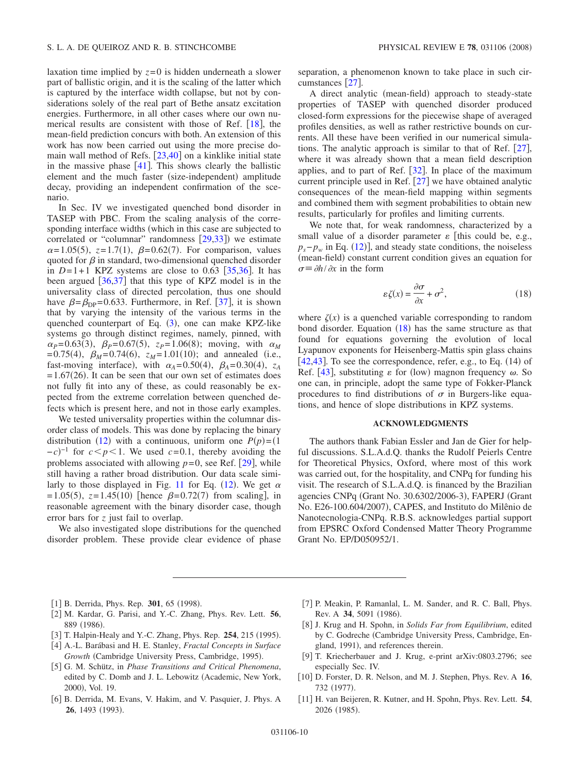laxation time implied by  $z=0$  is hidden underneath a slower part of ballistic origin, and it is the scaling of the latter which is captured by the interface width collapse, but not by considerations solely of the real part of Bethe ansatz excitation energies. Furthermore, in all other cases where our own numerical results are consistent with those of Ref.  $[18]$  $[18]$  $[18]$ , the mean-field prediction concurs with both. An extension of this work has now been carried out using the more precise domain wall method of Refs.  $[23,40]$  $[23,40]$  $[23,40]$  $[23,40]$  on a kinklike initial state in the massive phase  $[41]$  $[41]$  $[41]$ . This shows clearly the ballistic element and the much faster (size-independent) amplitude decay, providing an independent confirmation of the scenario.

In Sec. IV we investigated quenched bond disorder in TASEP with PBC. From the scaling analysis of the corresponding interface widths (which in this case are subjected to correlated or "columnar" randomness  $[29,33]$  $[29,33]$  $[29,33]$  $[29,33]$ ) we estimate  $\alpha = 1.05(5)$ ,  $z = 1.7(1)$ ,  $\beta = 0.62(7)$ . For comparison, values quoted for  $\beta$  in standard, two-dimensional quenched disorder in  $D=1+1$  KPZ systems are close to 0.63  $\lceil 35,36 \rceil$  $\lceil 35,36 \rceil$  $\lceil 35,36 \rceil$  $\lceil 35,36 \rceil$ . It has been argued  $\left[36,37\right]$  $\left[36,37\right]$  $\left[36,37\right]$  $\left[36,37\right]$  that this type of KPZ model is in the universality class of directed percolation, thus one should have  $\beta = \beta_{\text{DP}} = 0.633$ . Furthermore, in Ref. [[37](#page-10-21)], it is shown that by varying the intensity of the various terms in the quenched counterpart of Eq. ([3](#page-1-3)), one can make KPZ-like systems go through distinct regimes, namely, pinned, with  $\alpha_p = 0.63(3)$ ,  $\beta_p = 0.67(5)$ ,  $z_p = 1.06(8)$ ; moving, with  $\alpha_M$  $= 0.75(4)$ ,  $\beta_M = 0.74(6)$ ,  $z_M = 1.01(10)$ ; and annealed (i.e., fast-moving interface), with  $\alpha_A = 0.50(4)$ ,  $\beta_A = 0.30(4)$ ,  $z_A$  $=1.67(26)$ . It can be seen that our own set of estimates does not fully fit into any of these, as could reasonably be expected from the extreme correlation between quenched defects which is present here, and not in those early examples.

We tested universality properties within the columnar disorder class of models. This was done by replacing the binary distribution ([12](#page-6-1)) with a continuous, uniform one  $P(p) = (1$  $-c$ <sup>-1</sup> for  $c < p < 1$ . We used  $c = 0.1$ , thereby avoiding the problems associated with allowing  $p=0$ , see Ref. [[29](#page-10-12)], while still having a rather broad distribution. Our data scale simi-larly to those displayed in Fig. [11](#page-6-0) for Eq. ([12](#page-6-1)). We get  $\alpha$  $= 1.05(5)$ ,  $z = 1.45(10)$  [hence  $\beta = 0.72(7)$  from scaling], in reasonable agreement with the binary disorder case, though error bars for *z* just fail to overlap.

We also investigated slope distributions for the quenched disorder problem. These provide clear evidence of phase separation, a phenomenon known to take place in such cir-cumstances [[27](#page-10-10)].

A direct analytic (mean-field) approach to steady-state properties of TASEP with quenched disorder produced closed-form expressions for the piecewise shape of averaged profiles densities, as well as rather restrictive bounds on currents. All these have been verified in our numerical simulations. The analytic approach is similar to that of Ref.  $[27]$  $[27]$  $[27]$ , where it was already shown that a mean field description applies, and to part of Ref.  $[32]$  $[32]$  $[32]$ . In place of the maximum current principle used in Ref.  $[27]$  $[27]$  $[27]$  we have obtained analytic consequences of the mean-field mapping within segments and combined them with segment probabilities to obtain new results, particularly for profiles and limiting currents.

We note that, for weak randomness, characterized by a small value of a disorder parameter  $\varepsilon$  [this could be, e.g.,  $p_s - p_w$  in Eq. ([12](#page-6-1))], and steady state conditions, the noiseless (mean-field) constant current condition gives an equation for  $\sigma \equiv \partial h / \partial x$  in the form

$$
\varepsilon \zeta(x) = \frac{\partial \sigma}{\partial x} + \sigma^2,\tag{18}
$$

<span id="page-9-11"></span>where  $\zeta(x)$  is a quenched variable corresponding to random bond disorder. Equation  $(18)$  $(18)$  $(18)$  has the same structure as that found for equations governing the evolution of local Lyapunov exponents for Heisenberg-Mattis spin glass chains  $[42, 43]$  $[42, 43]$  $[42, 43]$  $[42, 43]$  $[42, 43]$ . To see the correspondence, refer, e.g., to Eq.  $(14)$  of Ref. [[43](#page-10-23)], substituting  $\varepsilon$  for (low) magnon frequency  $\omega$ . So one can, in principle, adopt the same type of Fokker-Planck procedures to find distributions of  $\sigma$  in Burgers-like equations, and hence of slope distributions in KPZ systems.

# **ACKNOWLEDGMENTS**

The authors thank Fabian Essler and Jan de Gier for helpful discussions. S.L.A.d.Q. thanks the Rudolf Peierls Centre for Theoretical Physics, Oxford, where most of this work was carried out, for the hospitality, and CNPq for funding his visit. The research of S.L.A.d.Q. is financed by the Brazilian agencies CNPq (Grant No. 30.6302/2006-3), FAPERJ (Grant No. E26-100.604/2007), CAPES, and Instituto do Milênio de Nanotecnologia-CNPq. R.B.S. acknowledges partial support from EPSRC Oxford Condensed Matter Theory Programme Grant No. EP/D050952/1.

- [1] B. Derrida, Phys. Rep. 301, 65 (1998).
- <span id="page-9-0"></span>2 M. Kardar, G. Parisi, and Y.-C. Zhang, Phys. Rev. Lett. **56**, 889 (1986).
- <span id="page-9-1"></span>[3] T. Halpin-Healy and Y.-C. Zhang, Phys. Rep. 254, 215 (1995).
- <span id="page-9-10"></span>4 A.-L. Barábasi and H. E. Stanley, *Fractal Concepts in Surface* Growth (Cambridge University Press, Cambridge, 1995).
- <span id="page-9-3"></span><span id="page-9-2"></span>5 G. M. Schütz, in *Phase Transitions and Critical Phenomena*, edited by C. Domb and J. L. Lebowitz (Academic, New York, 2000), Vol. 19.
- <span id="page-9-4"></span>[6] B. Derrida, M. Evans, V. Hakim, and V. Pasquier, J. Phys. A **26**, 1493 (1993).
- [7] P. Meakin, P. Ramanlal, L. M. Sander, and R. C. Ball, Phys. Rev. A 34, 5091 (1986).
- <span id="page-9-6"></span><span id="page-9-5"></span>8 J. Krug and H. Spohn, in *Solids Far from Equilibrium*, edited by C. Godreche Cambridge University Press, Cambridge, England, 1991), and references therein.
- [9] T. Kriecherbauer and J. Krug, e-print arXiv:0803.2796; see especially Sec. IV.
- <span id="page-9-7"></span>[10] D. Forster, D. R. Nelson, and M. J. Stephen, Phys. Rev. A 16, 732 (1977).
- <span id="page-9-9"></span><span id="page-9-8"></span>11 H. van Beijeren, R. Kutner, and H. Spohn, Phys. Rev. Lett. **54**, 2026 (1985).